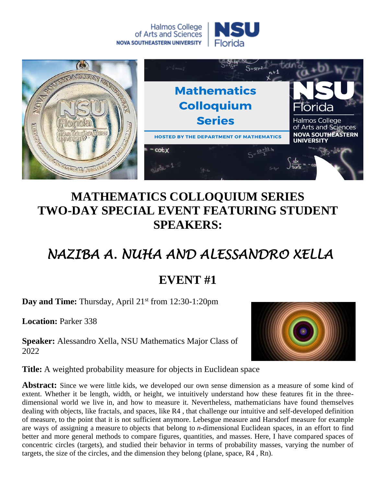



## **MATHEMATICS COLLOQUIUM SERIES TWO-DAY SPECIAL EVENT FEATURING STUDENT SPEAKERS:**

## *NAZIBA A. NUHA AND ALESSANDRO XELLA*

## **EVENT #1**

**Day and Time:** Thursday, April 21<sup>st</sup> from 12:30-1:20pm

**Location:** Parker 338

**Speaker:** Alessandro Xella, NSU Mathematics Major Class of 2022



**Title:** A weighted probability measure for objects in Euclidean space

**Abstract:** Since we were little kids, we developed our own sense dimension as a measure of some kind of extent. Whether it be length, width, or height, we intuitively understand how these features fit in the threedimensional world we live in, and how to measure it. Nevertheless, mathematicians have found themselves dealing with objects, like fractals, and spaces, like R4 , that challenge our intuitive and self-developed definition of measure, to the point that it is not sufficient anymore. Lebesgue measure and Harsdorf measure for example are ways of assigning a measure to objects that belong to *n*-dimensional Euclidean spaces, in an effort to find better and more general methods to compare figures, quantities, and masses. Here, I have compared spaces of concentric circles (targets), and studied their behavior in terms of probability masses, varying the number of targets, the size of the circles, and the dimension they belong (plane, space, R4 , Rn).